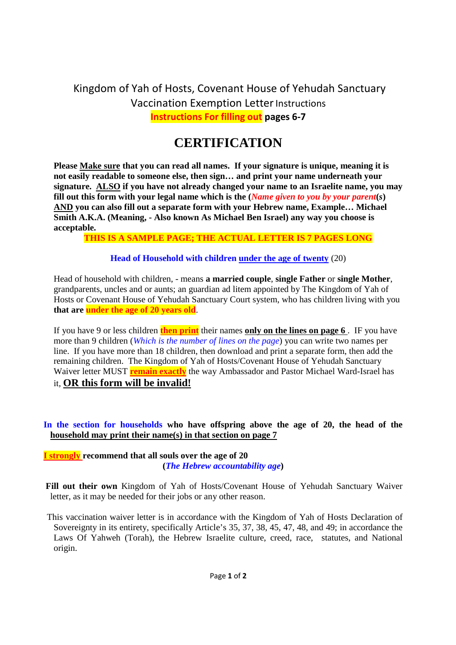Kingdom of Yah of Hosts, Covenant House of Yehudah Sanctuary Vaccination Exemption Letter Instructions **Instructions For filling out pages 6-7**

# **CERTIFICATION**

**Please Make sure that you can read all names. If your signature is unique, meaning it is not easily readable to someone else, then sign… and print your name underneath your signature. ALSO if you have not already changed your name to an Israelite name, you may fill out this form with your legal name which is the (***Name given to you by your parent***(***s***) AND you can also fill out a separate form with your Hebrew name, Example… Michael Smith A.K.A. (Meaning, - Also known As Michael Ben Israel) any way you choose is acceptable.**

# **THIS IS A SAMPLE PAGE; THE ACTUAL LETTER IS 7 PAGES LONG**

# **Head of Household with children under the age of twenty** (20)

Head of household with children, - means **a married couple**, **single Father** or **single Mother**, grandparents, uncles and or aunts; an guardian ad litem appointed by The Kingdom of Yah of Hosts or Covenant House of Yehudah Sanctuary Court system, who has children living with you **that are under the age of 20 years old**.

If you have 9 or less children **then print** their names **only on the lines on page 6** . IF you have more than 9 children (*Which is the number of lines on the page*) you can write two names per line. If you have more than 18 children, then download and print a separate form, then add the remaining children. The Kingdom of Yah of Hosts/Covenant House of Yehudah Sanctuary Waiver letter MUST **remain exactly** the way Ambassador and Pastor Michael Ward-Israel has it, **OR this form will be invalid!**

# **In the section for households who have offspring above the age of 20, the head of the household may print their name(s) in that section on page 7**

**I strongly recommend that all souls over the age of 20 (***The Hebrew accountability age***)**

**Fill out their own** Kingdom of Yah of Hosts/Covenant House of Yehudah Sanctuary Waiver letter, as it may be needed for their jobs or any other reason.

This vaccination waiver letter is in accordance with the Kingdom of Yah of Hosts Declaration of Sovereignty in its entirety, specifically Article's 35, 37, 38, 45, 47, 48, and 49; in accordance the Laws Of Yahweh (Torah), the Hebrew Israelite culture, creed, race, statutes, and National origin.